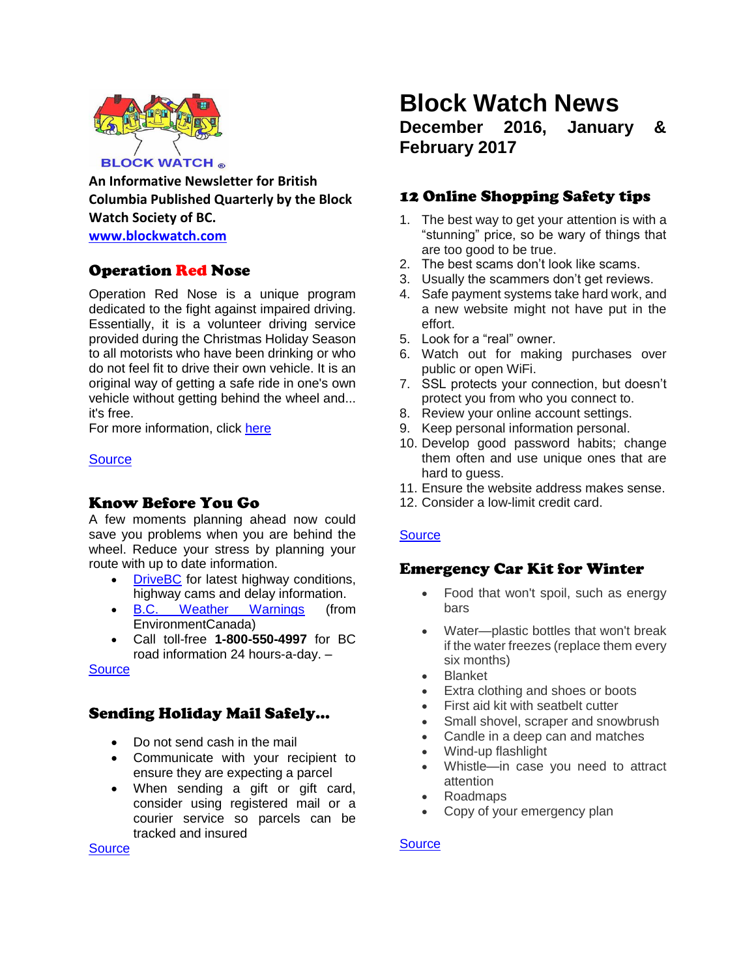

**An Informative Newsletter for British Columbia Published Quarterly by the Block Watch Society of BC.**

**[www.blockwatch.com](http://www.blockwatch.com/)**

# Operation Red Nose

Operation Red Nose is a unique program dedicated to the fight against impaired driving. Essentially, it is a volunteer driving service provided during the Christmas Holiday Season to all motorists who have been drinking or who do not feel fit to drive their own vehicle. It is an original way of getting a safe ride in one's own vehicle without getting behind the wheel and... it's free.

For more information, click [here](http://www.icbc.com/road-safety/community/Pages/Operation-Red-Nose.aspx)

### **[Source](http://www.icbc.com/road-safety/community/Pages/Operation-Red-Nose.aspx)**

# Know Before You Go

A few moments planning ahead now could save you problems when you are behind the wheel. Reduce your stress by planning your route with up to date information.

- [DriveBC](http://www.drivebc.ca/) for latest highway conditions, highway cams and delay information.
- [B.C. Weather Warnings](http://weather.gc.ca/warnings/index_e.html?prov=bc) (from EnvironmentCanada)
- Call toll-free **1-800-550-4997** for BC road information 24 hours-a-day. –

**[Source](http://shiftintowinter.ca/prepare-yourself/)** 

# Sending Holiday Mail Safely…

- Do not send cash in the mail
- Communicate with your recipient to ensure they are expecting a parcel
- When sending a gift or gift card, consider using registered mail or a courier service so parcels can be tracked and insured

# **Block Watch News December 2016, January & February 2017**

# 12 Online Shopping Safety tips

- 1. The best way to get your attention is with a "stunning" price, so be wary of things that are too good to be true.
- 2. The best scams don't look like scams.
- 3. Usually the scammers don't get reviews.
- 4. Safe payment systems take hard work, and a new website might not have put in the effort.
- 5. Look for a "real" owner.
- 6. Watch out for making purchases over public or open WiFi.
- 7. SSL protects your connection, but doesn't protect you from who you connect to.
- 8. Review your online account settings.
- 9. Keep personal information personal.
- 10. Develop good password habits; change them often and use unique ones that are hard to guess.
- 11. Ensure the website address makes sense.
- 12. Consider a low-limit credit card.

### **[Source](http://globalnews.ca/news/2356538/12-fraud-awareness-tips-for-online-christmas-shopping/)**

# Emergency Car Kit for Winter

- Food that won't spoil, such as energy bars
- Water—plastic bottles that won't break if the water freezes (replace them every six months)
- Blanket
- Extra clothing and shoes or boots
- First aid kit with seatbelt cutter
- Small shovel, scraper and snowbrush
- Candle in a deep can and matches
- Wind-up flashlight
- Whistle—in case you need to attract attention
- Roadmaps
- Copy of your emergency plan

### **[Source](https://www.getprepared.gc.ca/cnt/rsrcs/sfttps/tp201012-en.aspx)**

**[Source](http://calgarydowntown.com/imagedir/File/calgary-police/12%20TIPS%20OF%20CHRISTMAS.pdf)**